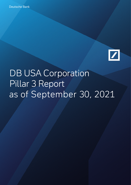

# DB USA Corporation Pillar 3 Report as of September 30, 2021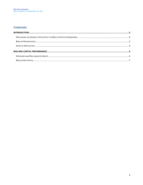#### **Contents**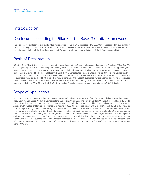## Introduction

## Disclosures according to Pillar 3 of the Basel 3 Capital Framework

The purpose of this Report is to provide Pillar 3 disclosures for DB USA Corporation ("DB USA Corp") as required by the regulatory framework for capital & liquidity, established by the Basel Committee on Banking Supervision, also known as Basel 3. Per regulation it is not required to have Pillar 3 disclosures audited. As such the information provided in this Pillar 3 Report is unaudited.

#### Basis of Presentation

DB USA Corp Pillar 3 Report has been prepared in accordance with U.S. Generally Accepted Accounting Principles ("U.S. GAAP"), while Regulatory Capital and Risk Weighted Assets ("RWA") calculations are based on U.S. Basel 3 Standardized Approach ("U.S. Basel 3") capital rules. In this regard RWA, Regulatory Capital and associated disclosures are based on U.S. regulatory reporting requirements as defined by the Federal Reserve Bank FR Y-9C Consolidated Financial Statements for Bank Holding Companies ("FR Y-9C") and in conjunction with U.S. Basel 3 rules. Quantitative Pillar 3 disclosures, in the Pillar 3 Report follow the classification and segmentation required by the FR Y-9C reporting requirements and U.S. Basel 3 guidelines. Where appropriate, we have introduced and modified disclosure tables required by the European Banking Authority ("EBA"), in order to present information consistent with the reporting made in the FR Y-9C and the DB USA Corp audited financial statements, also prepared on a U.S. GAAP basis.

#### Scope of Application

DB USA Corp is the US Intermediate Holding Company ("IHC") of Deutsche Bank AG ("DB Group") that is implemented pursuant to Regulation YY: Enhanced Prudential Standards for Bank Holding Companies and Foreign Banking Organizations, codified in 12 C.F.R. Part 252, and, in particular, Subpart O - Enhanced Prudential Standards for Foreign Banking Organizations with Total Consolidated Assets of \$100 Billion or More and Combined U.S. Assets of \$100 Billion or More" (the "FBO EPS Rule"). The FBO EPS Rule requires that a foreign banking organization ("FBO") having combined US assets of \$100 billion or more and US non-branch assets of \$50 billion or more establish in the US an IHC for its US subsidiaries that must be organized under the applicable US laws and operate under all applicable US regulatory requirements, including leverage and risk-based capital standards, stress testing, risk management and liquidity requirements. DB USA Corp consolidates all of DB Group subsidiaries in the U.S. which include Deutsche Bank Trust Corporation ("DBTC"), Deutsche Bank Trust Company Americas ("DBTCA"), Deutsche Bank Securities Inc. ("DBSI"), Deutsche Bank US Financial Markets Holding Corp. ("DBUSH"), Deutsche Bank Americas Holding Corp. ("DBAH") and German American Capital Corp. ("GACC").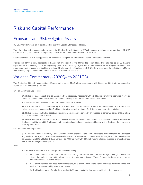# Risk and Capital Performance

## Exposures and Risk-weighted Assets

DB USA Corp RWA are calculated based on the U.S. Basel 3 Standardized Rules.

The information in the schedules below presents DB USA Corp distribution of RWA by exposure categories as reported in DB USA Corp's FR Y-9C, Schedule HC-R Regulatory Capital for the period ended September 30, 2021.

Operational Risk RWA is not applicable for banks calculating RWA under the U.S. Basel 3 Standardized Rules.

Market Risk RWA is only applicable to banks that are subject to the Market Risk Final Rule. This rule applies to US banking organizations that have significant trading activity ("Market Risk Banking Organizations"). US Market Risk Banking Organizations have aggregated trading assets and liabilities of at least \$1 billion or 10% of total assets. DB USA Corp does meet the definition of a Market Risk Banking Organization and therefore is subject to the Market Risk RWA.

#### Variance Commentary (2020Q4 to 2021Q3)

The September 2021 On-balance Sheet Exposures increased \$14.8 billion as compared with December 2020 with corresponding impact on RWA increased \$2.6 billion.

On –balance Sheet Exposures:

\$4.6 billion increase in cash and balances due from depository institutions within DBTCA is driven by a decrease in reverse repos \$5.2 billion and other liabilities \$0.3 billion, offset by a decrease in deposits of (\$0.9 billion).

This was offset by a decrease in cash held within DBSI (\$0.9 billion).

- \$8.0 billion increase in security financing transactions driven by an increase in stock borrow balances of \$1.5 billion and higher reverse repo balances of \$6.5 billion, both within in the Investment Bank due to increased client activity.
- \$1.8 billion increase in trading assets and securitization exposures driven by an increase in corporate bonds of \$1.3 billion, and US Treasuries of \$0.5 billion.
- \$1.0 billion increase in all other assets driven by fixed income related settlement balances which increased \$0.5 billion within the Investment Bank and \$0.5 billion driven by margin related balances pending settlement facing Deutsche Bank London in the Corporate Bank.

Off –balance Sheet Exposures:

- \$(1.8) billion decrease in Repo style transactions driven by changes in the counterparty split whereby there was a decrease in gross balances against Central banks (Federal Reserve, Central Bank of Chile) with 0% risk weight, and decrease in gross balances against DB affiliates (DB AG London, DB AG Frankfurt) with 20% risk weight, offset by increase in gross balances with 100% risk weight counterparties.

#### RWA:

- The \$2.6 billion increase in RWA was predominately driven by:
	- o \$0.9 billion increase from loans. \$0.6 billion driven by Corporate Bank loans with foreign banks (\$0.4 billion and 150% risk weight), and \$0.3 billion due to the Corporate Bank's Trade Finance business with corporate counterparties at 100% risk weight.
	- o \$1.2 billion increase from repo style transactions, \$0.5 billion driven by the higher securities borrowed exposures, and \$0.6 billion due to higher repo exposures.
	- o \$0.7 billion increase to Standardized Market RWA as a result of higher non-securitization debt exposures.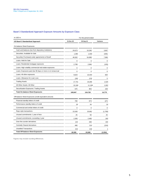#### Basel 3 Standardized Approach Exposure Amounts by Exposure Class

| in USD m.                                                  | For the period ended |           |          |
|------------------------------------------------------------|----------------------|-----------|----------|
| <b>US Basel 3 Standardized Approach</b>                    | 31-Dec-20            | 30-Sep-21 | Variance |
| On-balance Sheet Exposures                                 |                      |           |          |
| Cash and balances due from depository institutions         | 20,673               | 24,340    | 3,667    |
| Securities: Available for Sale                             | 1,365                | 1,030     | (335)    |
| Securities Purchased under agreements to Resell            | 46,932               | 54.898    | 7,966    |
| Loans: Held for Sale                                       | $\Omega$             | 0         | $\Omega$ |
| Loans: Residential mortgage exposures                      | 2,789                | 2,684     | (105)    |
| Loans: High volatility commercial real estate exposures    | $\mathbf 0$          | $\Omega$  | $\Omega$ |
| Loans: Exposures past due 90 days or more or on nonaccrual | $\mathbf 0$          | $\Omega$  | 0        |
| Loans: All other exposures                                 | 9,624                | 10,444    | 820      |
| Loans: Allowance for Loan Loss                             | (18)                 | (13)      | 5        |
| <b>Trading Assets</b>                                      | 17,741               | 19,266    | 1,525    |
| All Other Assets: All Other                                | 10,166               | 11,168    | 1,002    |
| Securitization Exposures: Trading Assets                   | 675                  | 903       | 228      |
| <b>Total On-balance Sheet Exposures</b>                    | 109,947              | 124,720   | 14,773   |
| Off-balance Sheet Exposures (credit equivalent amount)     |                      |           |          |
| Financial standby letters of credit                        | 700                  | 673       | (27)     |
| Performance standby letters of credit                      | 18                   | 34        | 16       |
| Commercial and similar letters of credit                   | 0                    | $\Omega$  | $\Omega$ |
| Repo style transactions                                    | 22,630               | 20,861    | (1,769)  |
| Unused commitments: 1 year of less                         | 25                   | 50        | 25       |
| Unused commitments: exceeding 1 year                       | 2,300                | 2,460     | 160      |
| Over-the-counter derivatives                               | 144                  | 338       | 194      |
| <b>Centrally Cleared derivatives</b>                       | 468                  | 314       | (154)    |
| <b>Unsettled Transactions</b>                              | 215                  | 216       |          |
| <b>Total Off-balance Sheet Exposures</b>                   | 26,500               | 24,946    | (1, 554) |

Figures may include rounding differences.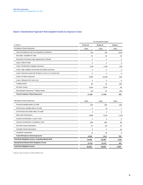#### Basel 3 Standardized Approach Risk-weighted Assets by Exposure Class

|                                                            |            | For the period ended |             |  |
|------------------------------------------------------------|------------|----------------------|-------------|--|
| in USD m.                                                  | 31-Dec-20  | 30-Sep-21            | Variance    |  |
| On-balance Sheet Exposures                                 | <b>RWA</b> | <b>RWA</b>           | <b>RWA</b>  |  |
| Cash and balances due from depository institutions         | 513        | 201                  | (312)       |  |
| Securities: Available for Sale                             | 43         | 66                   | 23          |  |
| Securities Purchased under agreements to Resell            | 0          | 0                    | $\Omega$    |  |
| Loans: Held for Sale                                       | ∩          | ŋ                    |             |  |
| Loans: Residential mortgage exposures                      | 1.451      | 1,436                | (15)        |  |
| Loans: High volatility commercial real estate exposures    | ∩          |                      |             |  |
| Loans: Exposures past due 90 days or more or on nonaccrual | 0          | 0                    | $^{\prime}$ |  |
| Loans: All other exposures                                 | 9.350      | 10.284               | 934         |  |
| Loans: Allowance for Loan Loss                             |            |                      |             |  |
| <b>Trading Assets</b>                                      | 85         | 42                   | (43)        |  |
| All Other Assets                                           | 5,590      | 5,678                | 88          |  |
| Securitization Exposures: Trading Assets                   | 123        | 42                   | (81)        |  |
| <b>Total On-balance Sheet Exposures</b>                    | 17,155     | 17,749               | 501         |  |

| Off-balance Sheet Exposures                       | <b>RWA</b> | <b>RWA</b> | <b>RWA</b> |
|---------------------------------------------------|------------|------------|------------|
| Financial standby letters of credit               | 529        | 484        | (45)       |
| Performance standby letters of credit             | 9          | 16         |            |
| Commercial and similar letters of credit          |            |            |            |
| Repo style transactions                           | 4,868      | 6,021      | 1.153      |
| Unused commitments: 1 year or less                |            | C          |            |
| Unused commitments: exceeding 1 year              | 809        | 895        | 86         |
| Over-the-counter derivatives                      | 67         | 134        | 67         |
| <b>Centrally Cleared derivatives</b>              | 9          |            | (3)        |
| <b>Unsettled Transactions</b>                     |            | 46         |            |
| <b>Total Off-balance Sheet Exposures</b>          | 6,336      | 7,611      | 790        |
| Total Risk Weighted Assets, excluding Market Risk | 23,491     | 25,360     | 1,291      |
| <b>Standardized Market Risk Weighted Assets</b>   | 12,791     | 13,472     | 681        |
| <b>Total Risk Weighted Assets</b>                 | 36,282     | 38,832     | 2,550      |
|                                                   |            |            |            |

Figures may include rounding differences.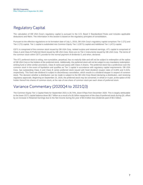## Regulatory Capital

The calculation of DB USA Corp's regulatory capital is pursuant to the U.S. Basel 3 Standardized Rules and includes applicable deductions and filters. The information in this section is based on the regulatory principles of consolidation.

Pursuant to the effective regulations on its formation date of July 1, 2016, DB USA Corp's regulatory capital comprises Tier 1 (T1) and Tier 2 (T2) capital. Tier 1 capital is subdivided into Common Equity Tier 1 (CET1) capital and Additional Tier 1 (AT1) capital.

CET1 is comprised of the common stock issued by DB USA Corp, related surplus and retained earnings. AT1 capital is comprised of Class A and Class B Preferred Stock issued by DB USA Corp; there are no Tier 2 instruments issued by DB USA Corp. The terms of the common stock within CET1 provide for the normal payment of dividends if, and when, declared.

The AT1 preferred stock is voting, non-cumulative, perpetual, has no maturity date and will not be subject to redemption at the option of DB USA Corp or the holders of the preferred stock. Additionally, the preferred stock will not be subject to any mandatory redemption, sinking fund or other similar provisions. Class B ranks pari passu with Class A shares. The preferred stock has a preference over the common stock in the event of liquidation and qualifies as Tier 1 capital in accordance with regulatory capital requirements. DB USA Corp. has outstanding Class A and Class B series preferred stock issued with fixed dividend coupon rates of 8.28% and 5.31%, respectively. This fixed rate dividend is subject to discretionary cancelation, which results in a dividend stopper in respect of common stock. The decision whether a distribution can be made is subject to the DB USA Corp Board declaring a distribution, and receiving regulatory approvals. Beginning on September 23, 2026, the preferred stock may be converted, in whole or in part, at the option of the holder thereof into shares of common stock, at the rate of one share of common stock per each share of preferred stock.

## Variance Commentary (2020Q4 to 2021Q3)

The Common Equity Tier 1 Capital Ratio for September 2021 is 26.74%, down 97bps from December 2020. This is largely attributable to the lower CET1 capital balance down \$0.7 billion as a result of a \$1 billion repayment of the class B preferred stock during Q3, offset by an increase in Retained Earnings due to the Net Income during the year of \$0.6 billion less dividends paid of \$0.3 billion.